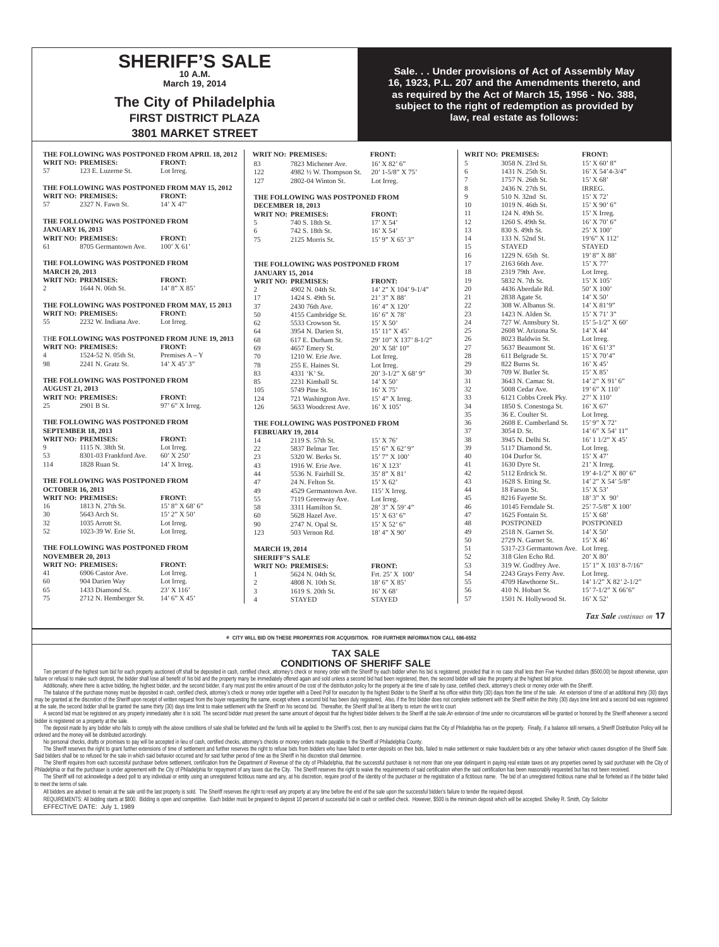### **SHERIFF'S SALE 10 A.M.**

**March 19, 2014**

# **The City of Philadelphia FIRST DISTRICT PLAZA 3801 MARKET STREET**

### **Sale. . . Under provisions of Act of Assembly May 16, 1923, P.L. 207 and the Amendments thereto, and as required by the Act of March 15, 1956 - No. 388, subject to the right of redemption as provided by law, real estate as follows:**

|                                                                                             |                                                | THE FOLLOWING WAS POSTPONED FROM APRIL 18, 2012 | <b>WRIT NO: PREMISES:</b>                                   |                                                              | <b>FRONT:</b>                         |                | <b>WRIT NO: PREMISES:</b>               | <b>FRONT:</b>                   |
|---------------------------------------------------------------------------------------------|------------------------------------------------|-------------------------------------------------|-------------------------------------------------------------|--------------------------------------------------------------|---------------------------------------|----------------|-----------------------------------------|---------------------------------|
|                                                                                             | <b>WRIT NO: PREMISES:</b>                      | <b>FRONT:</b>                                   |                                                             |                                                              |                                       |                |                                         | $15'$ X 60' 8"                  |
| 57                                                                                          | 123 E. Luzerne St.                             |                                                 | 83                                                          | 7823 Michener Ave.                                           | $16'$ X 82' 6"                        | 5<br>6         | 3058 N. 23rd St.                        | $16'$ X 54'4-3/4"               |
|                                                                                             |                                                | Lot Irreg.                                      | 122                                                         | 4982 1/2 W. Thompson St.                                     | $20'$ 1-5/8" X 75'                    | $\overline{7}$ | 1431 N. 25th St.                        |                                 |
|                                                                                             |                                                |                                                 | 127                                                         | 2802-04 Winton St.                                           | Lot Irreg.                            | 8              | 1757 N. 26th St.<br>2436 N. 27th St.    | 15' X 68'<br>IRREG.             |
| THE FOLLOWING WAS POSTPONED FROM MAY 15, 2012<br><b>FRONT:</b><br><b>WRIT NO: PREMISES:</b> |                                                |                                                 |                                                             |                                                              |                                       | 9              | 510 N. 32nd St.                         | 15' X 72'                       |
| 57                                                                                          | 2327 N. Fawn St.                               | $14'$ X 47'                                     |                                                             | THE FOLLOWING WAS POSTPONED FROM                             |                                       | 10             |                                         | 15' X 90' 6"                    |
|                                                                                             |                                                |                                                 | <b>DECEMBER 18, 2013</b>                                    |                                                              |                                       | 11             | 1019 N. 46th St.<br>124 N. 49th St.     | $15'$ X Irreg.                  |
| THE FOLLOWING WAS POSTPONED FROM                                                            |                                                |                                                 |                                                             | <b>WRIT NO: PREMISES:</b>                                    | <b>FRONT:</b>                         | 12             | 1260 S. 49th St.                        | $16'$ X 70' 6"                  |
|                                                                                             | <b>JANUARY 16, 2013</b>                        |                                                 | 5                                                           | 740 S. 18th St.                                              | 17' X 54'                             | 13             | 830 S. 49th St.                         | 25' X 100'                      |
|                                                                                             | <b>WRIT NO: PREMISES:</b>                      | <b>FRONT:</b>                                   | 6                                                           | 742 S. 18th St.                                              | $16'$ X 54'                           | 14             | 133 N. 52nd St.                         | 19'6" X 112'                    |
| 61                                                                                          | 8705 Germantown Ave.                           | $100'$ X 61                                     | 75                                                          | 2125 Morris St.                                              | 15' 9" X 65' 3"                       | 15             | <b>STAYED</b>                           | <b>STAYED</b>                   |
|                                                                                             |                                                |                                                 |                                                             |                                                              |                                       | 16             | 1229 N. 65th St.                        | 19' 8" X 88'                    |
| THE FOLLOWING WAS POSTPONED FROM                                                            |                                                |                                                 |                                                             |                                                              |                                       | 17             | 2163 66th Ave.                          | $15'$ X 77'                     |
| <b>MARCH 20, 2013</b>                                                                       |                                                |                                                 | THE FOLLOWING WAS POSTPONED FROM<br><b>JANUARY 15, 2014</b> |                                                              |                                       | 18             | 2319 79th Ave.                          |                                 |
|                                                                                             | <b>WRIT NO: PREMISES:</b>                      | <b>FRONT:</b>                                   |                                                             |                                                              |                                       | 19             | 5832 N. 7th St.                         | Lot Irreg.<br>15' X 105'        |
| 2                                                                                           | 1644 N. 06th St.                               | 14' 8" X 85'                                    |                                                             | <b>WRIT NO: PREMISES:</b>                                    | <b>FRONT:</b>                         | 20             | 4436 Aberdale Rd.                       | 50' X 100'                      |
|                                                                                             |                                                |                                                 | $\overline{2}$                                              | 4902 N. 04th St.                                             | 14' 2" X 104' 9-1/4"                  | 21             |                                         | 14' X 50'                       |
|                                                                                             | THE FOLLOWING WAS POSTPONED FROM MAY, 15 2013  |                                                 | 17                                                          | 1424 S. 49th St.                                             | 21' 3" X 88'                          |                | 2838 Agate St.                          |                                 |
|                                                                                             | <b>WRIT NO: PREMISES:</b>                      | <b>FRONT:</b>                                   | 37                                                          | 2430 76th Ave.                                               | 16' 4" X 120'                         | $22\,$<br>23   | 308 W. Albanus St.<br>1423 N. Alden St. | 14' X 81'9"<br>15' X 71' 3"     |
| 55                                                                                          | 2232 W. Indiana Ave.                           | Lot Irreg.                                      | 50                                                          | 4155 Cambridge St.                                           | 16' 6''  X 78'                        |                | 727 W. Annsbury St.                     |                                 |
|                                                                                             |                                                |                                                 | 62                                                          | 5533 Crowson St.                                             | $15'$ X 50'                           | 24<br>$25\,$   | 2608 W. Arizona St.                     | $15'$ 5-1/2" X 60'<br>14' X 44' |
|                                                                                             | THE FOLLOWING WAS POSTPONED FROM JUNE 19, 2013 |                                                 | 64                                                          | 3954 N. Darien St.                                           | 15' 11" X 45'                         | 26             | 8023 Baldwin St.                        |                                 |
|                                                                                             | <b>WRIT NO: PREMISES:</b>                      | <b>FRONT:</b>                                   | 68                                                          | 617 E. Durham St.                                            | 29' 10" X 137' 8-1/2"                 | 27             |                                         | Lot Irreg.                      |
| $\overline{4}$                                                                              | 1524-52 N. 05th St.                            | Premises $A - Y$                                | 69                                                          | 4657 Emery St.                                               | 20' X 58' 10"                         | 28             | 5637 Beaumont St.                       | $16'$ X 61'3"<br>$15'$ X 70'4"  |
| 98                                                                                          | 2241 N. Gratz St.                              | $14'$ X $45'$ 3"                                | 70                                                          | 1210 W. Erie Ave.                                            | Lot Irreg.                            | 29             | 611 Belgrade St.<br>822 Burns St.       | 16' X 45'                       |
|                                                                                             |                                                |                                                 | 78                                                          | 255 E. Haines St.                                            | Lot Irreg.                            | 30             | 709 W. Butler St.                       | 15' X 85'                       |
| THE FOLLOWING WAS POSTPONED FROM                                                            |                                                |                                                 | 83<br>85                                                    | 4331 'K' St.                                                 | 20' 3-1/2" X 68' 9"                   | 31             | 3643 N. Camac St.                       | $14'$ 2" X 91' 6"               |
| <b>AUGUST 21, 2013</b>                                                                      |                                                |                                                 |                                                             | 2231 Kimball St.                                             | $14'$ X 50'                           | 32             | 5008 Cedar Ave.                         | 19' 6" X 110'                   |
|                                                                                             | <b>WRIT NO: PREMISES:</b>                      | <b>FRONT:</b>                                   | 105                                                         | 5749 Pine St.                                                | $16'$ X 75'                           | 33             | 6121 Cobbs Creek Pky.                   | 27' X 110'                      |
| 25                                                                                          | 2901 B St.                                     | $97'$ 6" X Irreg.                               | 124<br>126                                                  | 721 Washington Ave.                                          | 15' 4" X Irreg.                       | 34             | 1850 S. Conestoga St.                   | $16'$ X 67'                     |
|                                                                                             |                                                |                                                 |                                                             | 5633 Woodcrest Ave.                                          | 16' X 105'                            | 35             | 36 E. Coulter St.                       | Lot Irreg.                      |
|                                                                                             | THE FOLLOWING WAS POSTPONED FROM               |                                                 |                                                             |                                                              |                                       | 36             | 2608 E. Cumberland St.                  | 15' 9" X 72'                    |
| <b>SEPTEMBER 18, 2013</b>                                                                   |                                                |                                                 |                                                             | THE FOLLOWING WAS POSTPONED FROM<br><b>FEBRUARY 19, 2014</b> |                                       |                | 3054 D. St.                             | 14' 6" X 54' 11"                |
|                                                                                             | <b>WRIT NO: PREMISES:</b>                      | <b>FRONT:</b>                                   | 14                                                          | 2119 S. 57th St.                                             | $15'$ X 76'                           | 37<br>38       | 3945 N. Delhi St.                       | 16' 1 1/2" X 45'                |
| 9                                                                                           | 1115 N. 38th St.                               | Lot Irreg.                                      | $22\,$                                                      | 5837 Belmar Ter.                                             | 15' 6" X 62' 9"                       | 39             | 5117 Diamond St.                        | Lot Irreg.                      |
| 53                                                                                          | 8301-03 Frankford Ave.                         | 60' X 250'                                      | 23                                                          | 5320 W. Berks St.                                            | 15' 7" X 100'                         | $40\,$         | 104 Durfor St.                          | 15' X 47'                       |
| 114                                                                                         | 1828 Ruan St.                                  | 14' X Irreg.                                    | 43                                                          | 1916 W. Erie Ave.                                            | 16' X 123'                            | 41             | 1630 Dyre St.                           | $21'$ X Irreg.                  |
|                                                                                             |                                                |                                                 | 44                                                          | 5536 N. Fairhill St.                                         | 35' 8" X 81'                          | 42             | 5112 Erdrick St.                        | $19' 4 - 1/2'' X 80' 6''$       |
|                                                                                             | THE FOLLOWING WAS POSTPONED FROM               |                                                 | 47                                                          | 24 N. Felton St.                                             | $15'$ X 62'                           | 43             | 1628 S. Etting St.                      | 14' 2" X 54' 5/8"               |
|                                                                                             | <b>OCTOBER 16, 2013</b>                        |                                                 | 49                                                          | 4529 Germantown Ave.                                         | $115'$ X Irreg.                       | 44             | 18 Farson St.                           | $15'$ X 53'                     |
|                                                                                             | <b>WRIT NO: PREMISES:</b>                      | <b>FRONT:</b>                                   | 55                                                          | 7119 Greenway Ave.                                           | Lot Irreg.                            | 45             | 8216 Fayette St.                        | 18' 3" X 90'                    |
| 16                                                                                          | 1813 N. 27th St.                               | $15'8''$ X 68' 6"                               | 58                                                          | 3311 Hamilton St.                                            | $28^\circ\,3^{\prime\prime}$ X 59' 4" | 46             | 10145 Ferndale St.                      | 25' 7-5/8" X 100'               |
| $30\,$                                                                                      | 5643 Arch St.                                  | 15' 2" X 50'                                    | 60                                                          | 5628 Hazel Ave.                                              | $15'$ X 63' 6"                        | 47             | 1625 Fontain St.                        | 15' X 68'                       |
| 32                                                                                          | 1035 Arrott St.                                | Lot Irreg.                                      | 90                                                          | 2747 N. Opal St.                                             | 15' X 52' 6"                          | 48             | <b>POSTPONED</b>                        | <b>POSTPONED</b>                |
| 52                                                                                          | 1023-39 W. Erie St.                            | Lot Irreg.                                      | 123                                                         | 503 Vernon Rd.                                               | 18' 4" X 90'                          | 49             | 2518 N. Garnet St.                      | $14'$ X 50'                     |
|                                                                                             |                                                |                                                 |                                                             |                                                              |                                       | 50             | 2729 N. Garnet St.                      | 15' X 46'                       |
| THE FOLLOWING WAS POSTPONED FROM                                                            |                                                |                                                 |                                                             | <b>MARCH 19, 2014</b>                                        |                                       |                | 5317-23 Germantown Ave.                 | Lot Irreg.                      |
| <b>NOVEMBER 20, 2013</b>                                                                    |                                                |                                                 | <b>SHERIFF'S SALE</b>                                       |                                                              |                                       | 51<br>52       | 318 Glen Echo Rd.                       | 20' X 80'                       |
|                                                                                             | <b>WRIT NO: PREMISES:</b>                      | <b>FRONT:</b>                                   |                                                             | <b>WRIT NO: PREMISES:</b>                                    | <b>FRONT:</b>                         | 53             | 319 W. Godfrey Ave.                     | $15'$ 1" X 103' 8-7/16"         |
| 41                                                                                          | 6906 Castor Ave.                               | Lot Irreg.                                      | 1                                                           | 5624 N. 04th St.                                             | Frt. $25' X 100'$                     | 54             | 2243 Grays Ferry Ave.                   | Lot Irreg.                      |
| 60                                                                                          | 904 Darien Way                                 | Lot Irreg.                                      | $\sqrt{2}$                                                  | 4808 N. 10th St.                                             | 18' 6" X 85'                          | 55             | 4709 Hawthorne St                       | 14' 1/2" X 82' 2-1/2"           |
| 65                                                                                          | 1433 Diamond St.                               | 23' X 116'                                      | $\ensuremath{\mathfrak{Z}}$                                 | 1619 S. 20th St.                                             | 16' X 68'                             | 56             | 410 N. Hobart St.                       | 15' 7-1/2" X 66'6"              |
| 75                                                                                          | 2712 N. Hemberger St.                          | 14' 6" X 45'                                    | $\overline{4}$                                              | <b>STAYED</b>                                                | <b>STAYED</b>                         | 57             | 1501 N. Hollywood St.                   | 16' X 52'                       |

*Tax Sale continues on* **17**

**e CITY WILL BID ON THESE PROPERTIES FOR ACQUISITION. FOR FURTHER INFORMATION CALL 686-6552**

#### **TAX SALE CONDITIONS OF SHERIFF SALE**

Ten percent of the highest sum bid for each property auctioned off shall be deposited in cash, certified check, attorney's check or money order with the Sheriff by each bidder when his bid is registered, provided that in n failure or refusal to make such deposit, the bidder shall lose all benefit of his bid and the property many be immediately offered again and sold unless a second bid had been registered, then, the second bidder will take t

Additionally, where there is active bidding, the highest bidder, and the second bidder, if any must post the entire amount of the cost of the distribution policy for the property at the there fromed by case, certified chec may be granted at the discretion of the Sheriff upon receipt of written request from the buyer requesting the same, except where a second bid has been duly registered, Also, if the first bidder does not complete settlement at the sale, the second bidder shall be granted the same thirty (30) days time limit to make settlement with the Sheriff on his second bid. Thereafter, the Sheriff shall be at liberty to return the writ to court

A second bid must be registered on any property immediately after it is sold. The second bidder must present the same amount of deposit that the highest bidder delivers to the Sheriff at the sale.An extension of time under bidder is registered on a property at the sale. The deposit made by any bidder who fails to comply with the above conditions of sale shall be forfeited and the funds will be applied to the Sheriff's cost, then to any municipal claims that the City of Philadelphia has on

ordered and the money will be distributed accordingly.<br>No personal checks, drafts or promises to pay will be accepted in lieu of cash, certified checks, attorney's checks or money orders made payable to the Sheriff of Phil

The Sheriff reserves the right to grant further extensions of time of settlement and further reserves the right to refuse bids from bidders who have failed to enter deposits on their bids, failed to make settlement or make Said bidders shall be so refused for the sale in which said behavior occurred and for said further period of time as the Sheriff in his discretion shall determine.

The Sheriff requires from each successful purchaser before settlement, certification from the Department of Revenue of the city of Philadelphia, that the successful purchaser is not more than one year delinquent in paying Philadelphia or that the purchaser is under agreement with the City of Philadelphia for repayment of any taxes due the City. The Sheriff reserves the right to waive the requirements of said certification when the said cert The Sheriff will not acknowledge a deed poll to any individual or entity using an unregistered fictitious name and any, at his discretion, require proof of the identity of the purchaser or the registration of a fictitious to meet the terms of sale.

All bidders are advised to remain at the sale until the last property is sold. The Sheriff reserves the right to resell any property at any time before the end of the sale upon the successful bidder's failure to tender the

REQUIREMENTS: All bidding starts at \$800. Bidding is open and competitive. Each bidder must be prepared to deposit 10 percent of successful bid in cash or certified check. However, \$500 is the minimum deposit which will be EFFECTIVE DATE: July 1, 1989